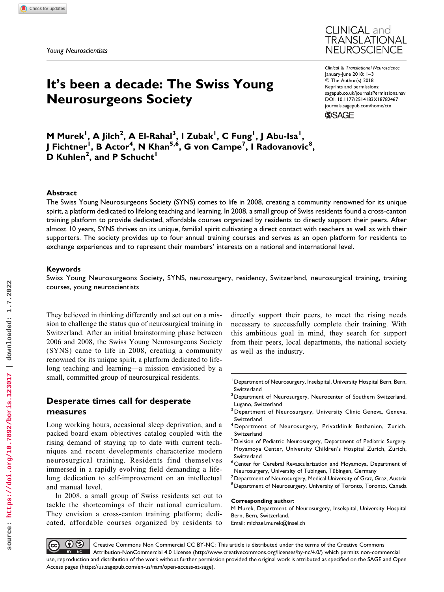# It's been a decade: The Swiss Young Neurosurgeons Society



Clinical & Translational Neuroscience January-June 2018: 1–3  $© The Author(s) 2018$ Reprints and permissions: [sagepub.co.uk/journalsPermissions.nav](https://uk.sagepub.com/en-gb/journals-permissions) [DOI: 10.1177/2514183X18782467](https://doi.org/10.1177/2514183X18782467) [journals.sagepub.com/home/ctn](http://journals.sagepub.com/home/ctn)

**SSAGE** 

M Murek<sup>I</sup>, A Jilch<sup>2</sup>, A El-Rahal<sup>3</sup>, I Zubak<sup>I</sup>, C Fung<sup>I</sup>, J Abu-Isa<sup>I</sup>, J Fichtner<sup>1</sup>, B Actor<sup>4</sup>, N Khan<sup>5,6</sup>, G von Campe<sup>7</sup>, I Radovanovic<sup>8</sup>,  $\overline{\mathsf{D}}$  Kuhlen<sup>2</sup>, and P Schucht<sup>1</sup>

## Abstract

The Swiss Young Neurosurgeons Society (SYNS) comes to life in 2008, creating a community renowned for its unique spirit, a platform dedicated to lifelong teaching and learning. In 2008, a small group of Swiss residents found a cross-canton training platform to provide dedicated, affordable courses organized by residents to directly support their peers. After almost 10 years, SYNS thrives on its unique, familial spirit cultivating a direct contact with teachers as well as with their supporters. The society provides up to four annual training courses and serves as an open platform for residents to exchange experiences and to represent their members' interests on a national and international level.

### Keywords

Swiss Young Neurosurgeons Society, SYNS, neurosurgery, residency, Switzerland, neurosurgical training, training courses, young neuroscientists

They believed in thinking differently and set out on a mission to challenge the status quo of neurosurgical training in Switzerland. After an initial brainstorming phase between 2006 and 2008, the Swiss Young Neurosurgeons Society (SYNS) came to life in 2008, creating a community renowned for its unique spirit, a platform dedicated to lifelong teaching and learning—a mission envisioned by a small, committed group of neurosurgical residents.

## Desperate times call for desperate measures

Long working hours, occasional sleep deprivation, and a packed board exam objectives catalog coupled with the rising demand of staying up to date with current techniques and recent developments characterize modern neurosurgical training. Residents find themselves immersed in a rapidly evolving field demanding a lifelong dedication to self-improvement on an intellectual and manual level.

In 2008, a small group of Swiss residents set out to tackle the shortcomings of their national curriculum. They envision a cross-canton training platform; dedicated, affordable courses organized by residents to

directly support their peers, to meet the rising needs necessary to successfully complete their training. With this ambitious goal in mind, they search for support from their peers, local departments, the national society as well as the industry.

<sup>1</sup> Department of Neurosurgery, Inselspital, University Hospital Bern, Bern, Switzerland

- 2Department of Neurosurgery, Neurocenter of Southern Switzerland, Lugano, Switzerland
- <sup>3</sup> Department of Neurosurgery, University Clinic Geneva, Geneva, Switzerland
- <sup>4</sup> Department of Neurosurgery, Privatklinik Bethanien, Zurich, Switzerland
- <sup>5</sup> Division of Pediatric Neurosurgery, Department of Pediatric Surgery, Moyamoya Center, University Children's Hospital Zurich, Zurich, Switzerland
- 6 Center for Cerebral Revascularization and Moyamoya, Department of
- Neurosurgery, University of Tubingen, Tübingen, Germany<br><sup>7</sup> Department of Neurosurgery, Medical University of Graz, Graz, Austria
- <sup>8</sup> Department of Neurosurgery, University of Toronto, Toronto, Canada

#### Corresponding author:

M Murek, Department of Neurosurgery, Inselspital, University Hospital Bern, Bern, Switzerland. Email: [michael.murek@insel.ch](mailto:michael.murek@insel.ch)

 $\left( \mathbf{0} \right)$  $\left(\mathrm{cc}\right)$ Creative Commons Non Commercial CC BY-NC: This article is distributed under the terms of the Creative Commons  $BY$  NC Attribution-NonCommercial 4.0 License (http://www.creativecommons.org/licenses/by-nc/4.0/) which permits non-commercial use, reproduction and distribution of the work without further permission provided the original work is attributed as specified on the SAGE and Open Access pages (<https://us.sagepub.com/en-us/nam/open-access-at-sage>).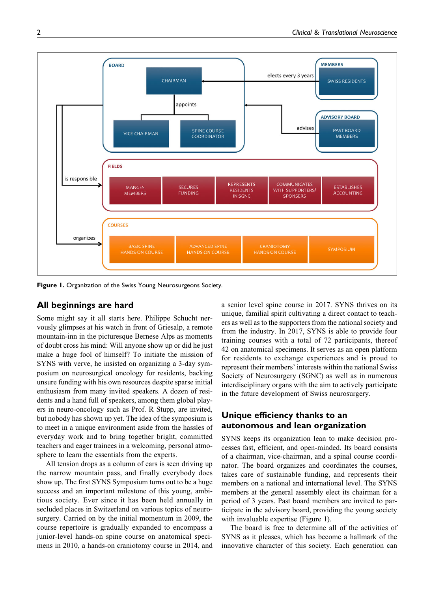

Figure 1. Organization of the Swiss Young Neurosurgeons Society.

## All beginnings are hard

Some might say it all starts here. Philippe Schucht nervously glimpses at his watch in front of Griesalp, a remote mountain-inn in the picturesque Bernese Alps as moments of doubt cross his mind: Will anyone show up or did he just make a huge fool of himself? To initiate the mission of SYNS with verve, he insisted on organizing a 3-day symposium on neurosurgical oncology for residents, backing unsure funding with his own resources despite sparse initial enthusiasm from many invited speakers. A dozen of residents and a hand full of speakers, among them global players in neuro-oncology such as Prof. R Stupp, are invited, but nobody has shown up yet. The idea of the symposium is to meet in a unique environment aside from the hassles of everyday work and to bring together bright, committed teachers and eager trainees in a welcoming, personal atmosphere to learn the essentials from the experts.

All tension drops as a column of cars is seen driving up the narrow mountain pass, and finally everybody does show up. The first SYNS Symposium turns out to be a huge success and an important milestone of this young, ambitious society. Ever since it has been held annually in secluded places in Switzerland on various topics of neurosurgery. Carried on by the initial momentum in 2009, the course repertoire is gradually expanded to encompass a junior-level hands-on spine course on anatomical specimens in 2010, a hands-on craniotomy course in 2014, and a senior level spine course in 2017. SYNS thrives on its unique, familial spirit cultivating a direct contact to teachers as well as to the supporters from the national society and from the industry. In 2017, SYNS is able to provide four training courses with a total of 72 participants, thereof 42 on anatomical specimens. It serves as an open platform for residents to exchange experiences and is proud to represent their members' interests within the national Swiss Society of Neurosurgery (SGNC) as well as in numerous interdisciplinary organs with the aim to actively participate in the future development of Swiss neurosurgery.

# Unique efficiency thanks to an autonomous and lean organization

SYNS keeps its organization lean to make decision processes fast, efficient, and open-minded. Its board consists of a chairman, vice-chairman, and a spinal course coordinator. The board organizes and coordinates the courses, takes care of sustainable funding, and represents their members on a national and international level. The SYNS members at the general assembly elect its chairman for a period of 3 years. Past board members are invited to participate in the advisory board, providing the young society with invaluable expertise (Figure 1).

The board is free to determine all of the activities of SYNS as it pleases, which has become a hallmark of the innovative character of this society. Each generation can